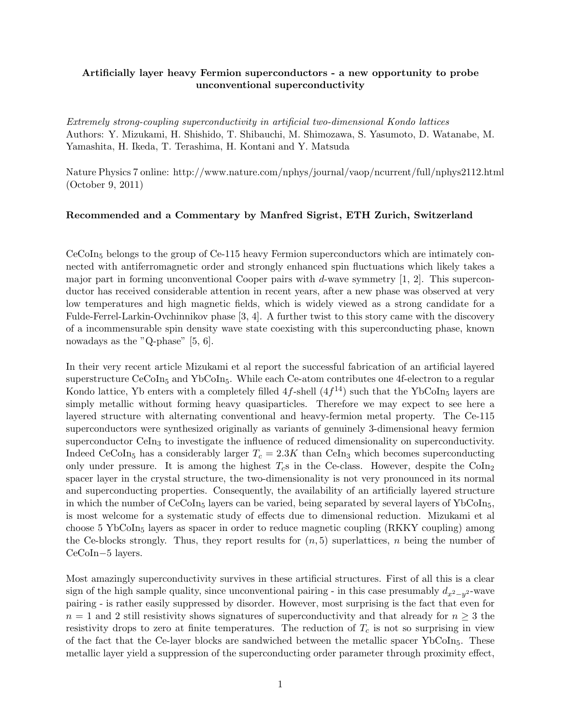## Artificially layer heavy Fermion superconductors - a new opportunity to probe unconventional superconductivity

Extremely strong-coupling superconductivity in artificial two-dimensional Kondo lattices Authors: Y. Mizukami, H. Shishido, T. Shibauchi, M. Shimozawa, S. Yasumoto, D. Watanabe, M. Yamashita, H. Ikeda, T. Terashima, H. Kontani and Y. Matsuda

Nature Physics 7 online: http://www.nature.com/nphys/journal/vaop/ncurrent/full/nphys2112.html (October 9, 2011)

## Recommended and a Commentary by Manfred Sigrist, ETH Zurich, Switzerland

CeCoIn<sup>5</sup> belongs to the group of Ce-115 heavy Fermion superconductors which are intimately connected with antiferromagnetic order and strongly enhanced spin fluctuations which likely takes a major part in forming unconventional Cooper pairs with d-wave symmetry  $[1, 2]$ . This superconductor has received considerable attention in recent years, after a new phase was observed at very low temperatures and high magnetic fields, which is widely viewed as a strong candidate for a Fulde-Ferrel-Larkin-Ovchinnikov phase [3, 4]. A further twist to this story came with the discovery of a incommensurable spin density wave state coexisting with this superconducting phase, known nowadays as the "Q-phase" [5, 6].

In their very recent article Mizukami et al report the successful fabrication of an artificial layered superstructure  $CeCoIn<sub>5</sub>$  and YbCoIn<sub>5</sub>. While each Ce-atom contributes one 4f-electron to a regular Kondo lattice, Yb enters with a completely filled  $4f$ -shell  $(4f^{14})$  such that the YbCoIn<sub>5</sub> layers are simply metallic without forming heavy quasiparticles. Therefore we may expect to see here a layered structure with alternating conventional and heavy-fermion metal property. The Ce-115 superconductors were synthesized originally as variants of genuinely 3-dimensional heavy fermion superconductor CeIn<sub>3</sub> to investigate the influence of reduced dimensionality on superconductivity. Indeed CeCoIn<sub>5</sub> has a considerably larger  $T_c = 2.3K$  than CeIn<sub>3</sub> which becomes superconducting only under pressure. It is among the highest  $T_c$ s in the Ce-class. However, despite the CoIn<sub>2</sub> spacer layer in the crystal structure, the two-dimensionality is not very pronounced in its normal and superconducting properties. Consequently, the availability of an artificially layered structure in which the number of  $CeCoIn<sub>5</sub>$  layers can be varied, being separated by several layers of YbCoIn<sub>5</sub>, is most welcome for a systematic study of effects due to dimensional reduction. Mizukami et al choose 5 YbCoIn<sub>5</sub> layers as spacer in order to reduce magnetic coupling  $(RKKY)$  coupling among the Ce-blocks strongly. Thus, they report results for  $(n, 5)$  superlattices, n being the number of CeCoIn−5 layers.

Most amazingly superconductivity survives in these artificial structures. First of all this is a clear sign of the high sample quality, since unconventional pairing - in this case presumably  $d_{x^2-y^2}$ -wave pairing - is rather easily suppressed by disorder. However, most surprising is the fact that even for  $n = 1$  and 2 still resistivity shows signatures of superconductivity and that already for  $n \geq 3$  the resistivity drops to zero at finite temperatures. The reduction of  $T_c$  is not so surprising in view of the fact that the Ce-layer blocks are sandwiched between the metallic spacer  $YbCoIn<sub>5</sub>$ . These metallic layer yield a suppression of the superconducting order parameter through proximity effect,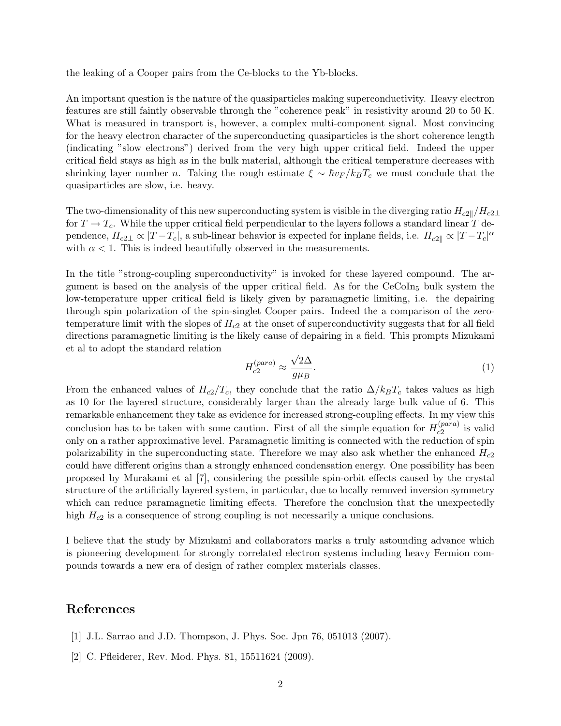the leaking of a Cooper pairs from the Ce-blocks to the Yb-blocks.

An important question is the nature of the quasiparticles making superconductivity. Heavy electron features are still faintly observable through the "coherence peak" in resistivity around 20 to 50 K. What is measured in transport is, however, a complex multi-component signal. Most convincing for the heavy electron character of the superconducting quasiparticles is the short coherence length (indicating "slow electrons") derived from the very high upper critical field. Indeed the upper critical field stays as high as in the bulk material, although the critical temperature decreases with shrinking layer number n. Taking the rough estimate  $\xi \sim \hbar v_F / k_B T_c$  we must conclude that the quasiparticles are slow, i.e. heavy.

The two-dimensionality of this new superconducting system is visible in the diverging ratio  $H_{c2||}/H_{c2\perp}$ for  $T \to T_c$ . While the upper critical field perpendicular to the layers follows a standard linear T dependence,  $H_{c2\perp} \propto |T-T_c|$ , a sub-linear behavior is expected for inplane fields, i.e.  $H_{c2\parallel} \propto |T-T_c|^{\alpha}$ with  $\alpha < 1$ . This is indeed beautifully observed in the measurements.

In the title "strong-coupling superconductivity" is invoked for these layered compound. The argument is based on the analysis of the upper critical field. As for the  $CeCoIn<sub>5</sub>$  bulk system the low-temperature upper critical field is likely given by paramagnetic limiting, i.e. the depairing through spin polarization of the spin-singlet Cooper pairs. Indeed the a comparison of the zerotemperature limit with the slopes of  $H_{c2}$  at the onset of superconductivity suggests that for all field directions paramagnetic limiting is the likely cause of depairing in a field. This prompts Mizukami et al to adopt the standard relation √

$$
H_{c2}^{(para)} \approx \frac{\sqrt{2}\Delta}{g\mu_B}.\tag{1}
$$

From the enhanced values of  $H_{c2}/T_c$ , they conclude that the ratio  $\Delta/k_BT_c$  takes values as high as 10 for the layered structure, considerably larger than the already large bulk value of 6. This remarkable enhancement they take as evidence for increased strong-coupling effects. In my view this conclusion has to be taken with some caution. First of all the simple equation for  $H_{c2}^{(para)}$  $c_2^{(para)}$  is valid only on a rather approximative level. Paramagnetic limiting is connected with the reduction of spin polarizability in the superconducting state. Therefore we may also ask whether the enhanced  $H_{c2}$ could have different origins than a strongly enhanced condensation energy. One possibility has been proposed by Murakami et al [7], considering the possible spin-orbit effects caused by the crystal structure of the artificially layered system, in particular, due to locally removed inversion symmetry which can reduce paramagnetic limiting effects. Therefore the conclusion that the unexpectedly high  $H_{c2}$  is a consequence of strong coupling is not necessarily a unique conclusions.

I believe that the study by Mizukami and collaborators marks a truly astounding advance which is pioneering development for strongly correlated electron systems including heavy Fermion compounds towards a new era of design of rather complex materials classes.

## References

- [1] J.L. Sarrao and J.D. Thompson, J. Phys. Soc. Jpn 76, 051013 (2007).
- [2] C. Pfleiderer, Rev. Mod. Phys. 81, 15511624 (2009).